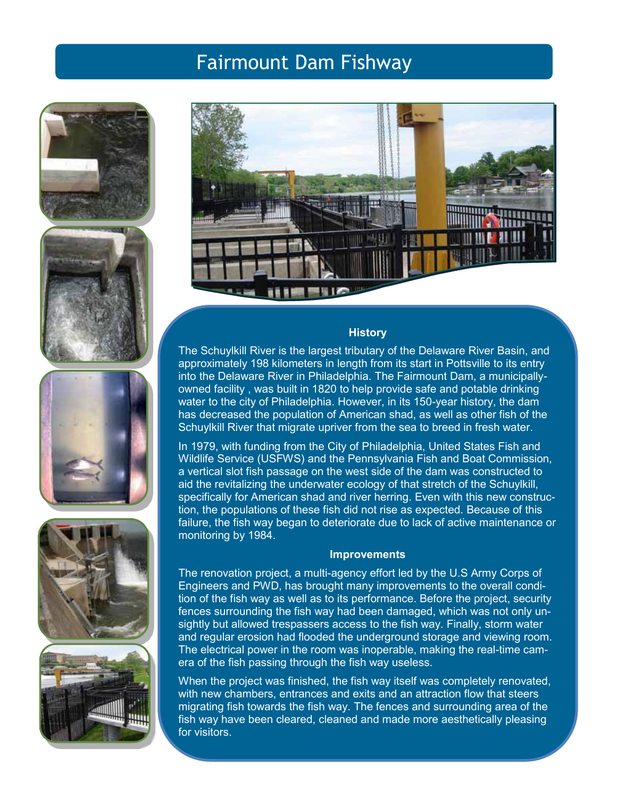# Fairmount Dam Fishway











## **History**

The Schuylkill River is the largest tributary of the Delaware River Basin, and approximately 198 kilometers in length from its start in Pottsville to its entry into the Delaware River in Philadelphia. The Fairmount Dam, a municipallyowned facility , was built in 1820 to help provide safe and potable drinking water to the city of Philadelphia. However, in its 150-year history, the dam has decreased the population of American shad, as well as other fish of the Schuylkill River that migrate upriver from the sea to breed in fresh water.

In 1979, with funding from the City of Philadelphia, United States Fish and Wildlife Service (USFWS) and the Pennsylvania Fish and Boat Commission, a vertical slot fish passage on the west side of the dam was constructed to aid the revitalizing the underwater ecology of that stretch of the Schuylkill, specifically for American shad and river herring. Even with this new construction, the populations of these fish did not rise as expected. Because of this failure, the fish way began to deteriorate due to lack of active maintenance or monitoring by 1984.

## **Improvements**

The renovation project, a multi-agency effort led by the U.S Army Corps of Engineers and PWD, has brought many improvements to the overall condition of the fish way as well as to its performance. Before the project, security fences surrounding the fish way had been damaged, which was not only unsightly but allowed trespassers access to the fish way. Finally, storm water and regular erosion had flooded the underground storage and viewing room. The electrical power in the room was inoperable, making the real-time camera of the fish passing through the fish way useless.

When the project was finished, the fish way itself was completely renovated, with new chambers, entrances and exits and an attraction flow that steers migrating fish towards the fish way. The fences and surrounding area of the fish way have been cleared, cleaned and made more aesthetically pleasing for visitors.